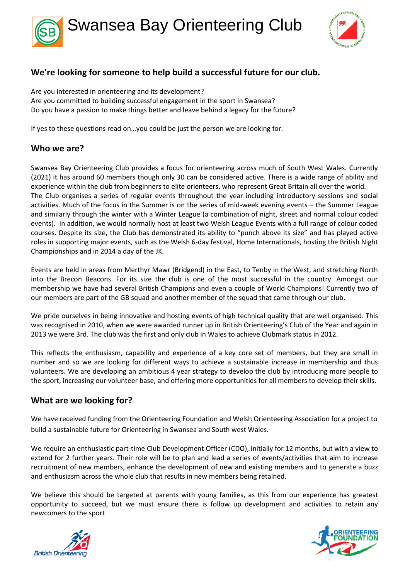



## **We're looking for someone to help build a successful future for our club.**

Are you interested in orienteering and its development? Are you committed to building successful engagement in the sport in Swansea? Do you have a passion to make things better and leave behind a legacy for the future?

If yes to these questions read on…you could be just the person we are looking for.

### **Who we are?**

Swansea Bay Orienteering Club provides a focus for orienteering across much of South West Wales. Currently (2021) it has around 60 members though only 30 can be considered active. There is a wide range of ability and experience within the club from beginners to elite orienteers, who represent Great Britain all over the world. The Club organises a series of regular events throughout the year including introductory sessions and social activities. Much of the focus in the Summer is on the series of mid-week evening events – the Summer League and similarly through the winter with a Winter League (a combination of night, street and normal colour coded events). In addition, we would normally host at least two Welsh League Events with a full range of colour coded courses. Despite its size, the Club has demonstrated its ability to "punch above its size" and has played active roles in supporting major events, such as the Welsh 6-day festival, Home Internationals, hosting the British Night Championships and in 2014 a day of the JK.

Events are held in areas from Merthyr Mawr (Bridgend) in the East, to Tenby in the West, and stretching North into the Brecon Beacons. For its size the club is one of the most successful in the country. Amongst our membership we have had several British Champions and even a couple of World Champions! Currently two of our members are part of the GB squad and another member of the squad that came through our club.

We pride ourselves in being innovative and hosting events of high technical quality that are well organised. This was recognised in 2010, when we were awarded runner up in British Orienteering's Club of the Year and again in 2013 we were 3rd. The club was the first and only club in Wales to achieve Clubmark status in 2012.

This reflects the enthusiasm, capability and experience of a key core set of members, but they are small in number and so we are looking for different ways to achieve a sustainable increase in membership and thus volunteers. We are developing an ambitious 4 year strategy to develop the club by introducing more people to the sport, increasing our volunteer base, and offering more opportunities for all members to develop their skills.

### **What are we looking for?**

We have received funding from the Orienteering Foundation and Welsh Orienteering Association for a project to build a sustainable future for Orienteering in Swansea and South west Wales.

We require an enthusiastic part-time Club Development Officer (CDO), initially for 12 months, but with a view to extend for 2 further years. Their role will be to plan and lead a series of events/activities that aim to increase recruitment of new members, enhance the development of new and existing members and to generate a buzz and enthusiasm across the whole club that results in new members being retained.

We believe this should be targeted at parents with young families, as this from our experience has greatest opportunity to succeed, but we must ensure there is follow up development and activities to retain any newcomers to the sport



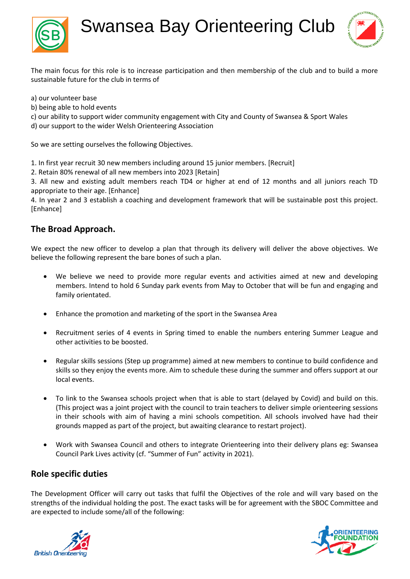

Swansea Bay Orienteering Club



The main focus for this role is to increase participation and then membership of the club and to build a more sustainable future for the club in terms of

a) our volunteer base

- b) being able to hold events
- c) our ability to support wider community engagement with City and County of Swansea & Sport Wales

d) our support to the wider Welsh Orienteering Association

So we are setting ourselves the following Objectives.

1. In first year recruit 30 new members including around 15 junior members. [Recruit]

2. Retain 80% renewal of all new members into 2023 [Retain]

3. All new and existing adult members reach TD4 or higher at end of 12 months and all juniors reach TD appropriate to their age. [Enhance]

4. In year 2 and 3 establish a coaching and development framework that will be sustainable post this project. [Enhance]

## **The Broad Approach.**

We expect the new officer to develop a plan that through its delivery will deliver the above objectives. We believe the following represent the bare bones of such a plan.

- We believe we need to provide more regular events and activities aimed at new and developing members. Intend to hold 6 Sunday park events from May to October that will be fun and engaging and family orientated.
- Enhance the promotion and marketing of the sport in the Swansea Area
- Recruitment series of 4 events in Spring timed to enable the numbers entering Summer League and other activities to be boosted.
- Regular skills sessions (Step up programme) aimed at new members to continue to build confidence and skills so they enjoy the events more. Aim to schedule these during the summer and offers support at our local events.
- To link to the Swansea schools project when that is able to start (delayed by Covid) and build on this. (This project was a joint project with the council to train teachers to deliver simple orienteering sessions in their schools with aim of having a mini schools competition. All schools involved have had their grounds mapped as part of the project, but awaiting clearance to restart project).
- Work with Swansea Council and others to integrate Orienteering into their delivery plans eg: Swansea Council Park Lives activity (cf. "Summer of Fun" activity in 2021).

### **Role specific duties**

The Development Officer will carry out tasks that fulfil the Objectives of the role and will vary based on the strengths of the individual holding the post. The exact tasks will be for agreement with the SBOC Committee and are expected to include some/all of the following:



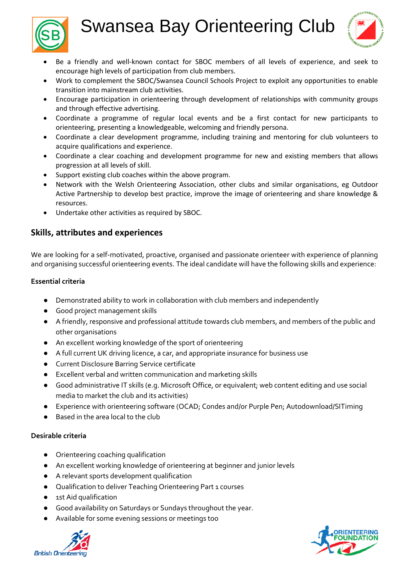# Swansea Bay Orienteering Club





- Be a friendly and well-known contact for SBOC members of all levels of experience, and seek to encourage high levels of participation from club members.
- Work to complement the SBOC/Swansea Council Schools Project to exploit any opportunities to enable transition into mainstream club activities.
- Encourage participation in orienteering through development of relationships with community groups and through effective advertising.
- Coordinate a programme of regular local events and be a first contact for new participants to orienteering, presenting a knowledgeable, welcoming and friendly persona.
- Coordinate a clear development programme, including training and mentoring for club volunteers to acquire qualifications and experience.
- Coordinate a clear coaching and development programme for new and existing members that allows progression at all levels of skill.
- Support existing club coaches within the above program.
- Network with the Welsh Orienteering Association, other clubs and similar organisations, eg Outdoor Active Partnership to develop best practice, improve the image of orienteering and share knowledge & resources.
- Undertake other activities as required by SBOC.

## **Skills, attributes and experiences**

We are looking for a self-motivated, proactive, organised and passionate orienteer with experience of planning and organising successful orienteering events. The ideal candidate will have the following skills and experience:

### **Essential criteria**

- Demonstrated ability to work in collaboration with club members and independently
- Good project management skills
- A friendly, responsive and professional attitude towards club members, and members of the public and other organisations
- An excellent working knowledge of the sport of orienteering
- A full current UK driving licence, a car, and appropriate insurance for business use
- Current Disclosure Barring Service certificate
- Excellent verbal and written communication and marketing skills
- Good administrative IT skills (e.g. Microsoft Office, or equivalent; web content editing and use social media to market the club and its activities)
- Experience with orienteering software (OCAD; Condes and/or Purple Pen; Autodownload/SITiming
- Based in the area local to the club

#### **Desirable criteria**

- Orienteering coaching qualification
- An excellent working knowledge of orienteering at beginner and junior levels
- A relevant sports development qualification
- Qualification to deliver Teaching Orienteering Part 1 courses
- 1st Aid qualification
- Good availability on Saturdays or Sundays throughout the year.
- Available for some evening sessions or meetings too